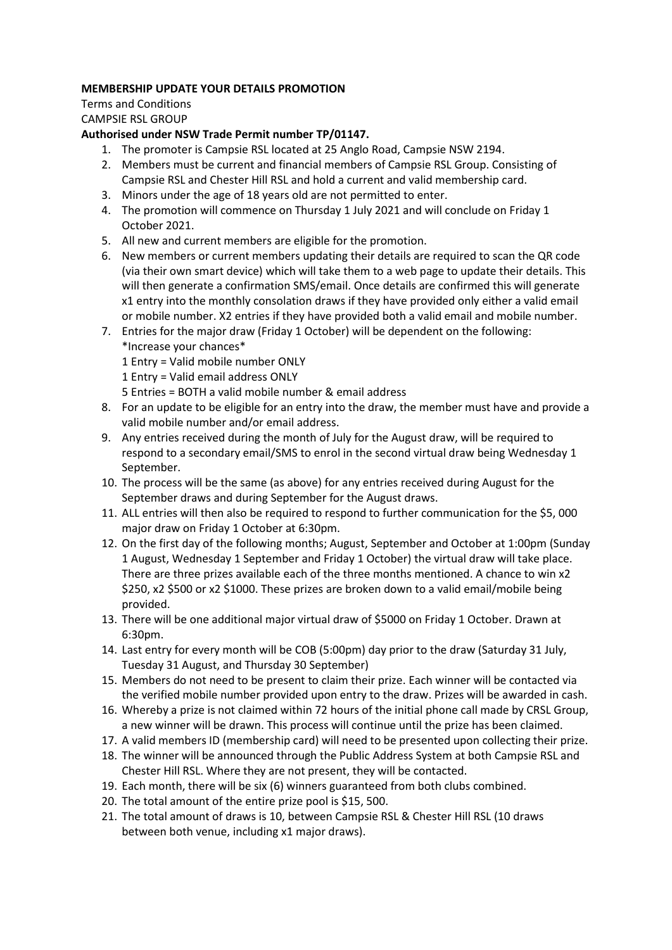## **MEMBERSHIP UPDATE YOUR DETAILS PROMOTION**

Terms and Conditions CAMPSIE RSL GROUP

## **Authorised under NSW Trade Permit number TP/01147.**

- 1. The promoter is Campsie RSL located at 25 Anglo Road, Campsie NSW 2194.
- 2. Members must be current and financial members of Campsie RSL Group. Consisting of Campsie RSL and Chester Hill RSL and hold a current and valid membership card.
- 3. Minors under the age of 18 years old are not permitted to enter.
- 4. The promotion will commence on Thursday 1 July 2021 and will conclude on Friday 1 October 2021.
- 5. All new and current members are eligible for the promotion.
- 6. New members or current members updating their details are required to scan the QR code (via their own smart device) which will take them to a web page to update their details. This will then generate a confirmation SMS/email. Once details are confirmed this will generate x1 entry into the monthly consolation draws if they have provided only either a valid email or mobile number. X2 entries if they have provided both a valid email and mobile number.
- 7. Entries for the major draw (Friday 1 October) will be dependent on the following: \*Increase your chances\*
	- 1 Entry = Valid mobile number ONLY
	- 1 Entry = Valid email address ONLY
	- 5 Entries = BOTH a valid mobile number & email address
- 8. For an update to be eligible for an entry into the draw, the member must have and provide a valid mobile number and/or email address.
- 9. Any entries received during the month of July for the August draw, will be required to respond to a secondary email/SMS to enrol in the second virtual draw being Wednesday 1 September.
- 10. The process will be the same (as above) for any entries received during August for the September draws and during September for the August draws.
- 11. ALL entries will then also be required to respond to further communication for the \$5, 000 major draw on Friday 1 October at 6:30pm.
- 12. On the first day of the following months; August, September and October at 1:00pm (Sunday 1 August, Wednesday 1 September and Friday 1 October) the virtual draw will take place. There are three prizes available each of the three months mentioned. A chance to win x2 \$250, x2 \$500 or x2 \$1000. These prizes are broken down to a valid email/mobile being provided.
- 13. There will be one additional major virtual draw of \$5000 on Friday 1 October. Drawn at 6:30pm.
- 14. Last entry for every month will be COB (5:00pm) day prior to the draw (Saturday 31 July, Tuesday 31 August, and Thursday 30 September)
- 15. Members do not need to be present to claim their prize. Each winner will be contacted via the verified mobile number provided upon entry to the draw. Prizes will be awarded in cash.
- 16. Whereby a prize is not claimed within 72 hours of the initial phone call made by CRSL Group, a new winner will be drawn. This process will continue until the prize has been claimed.
- 17. A valid members ID (membership card) will need to be presented upon collecting their prize.
- 18. The winner will be announced through the Public Address System at both Campsie RSL and Chester Hill RSL. Where they are not present, they will be contacted.
- 19. Each month, there will be six (6) winners guaranteed from both clubs combined.
- 20. The total amount of the entire prize pool is \$15, 500.
- 21. The total amount of draws is 10, between Campsie RSL & Chester Hill RSL (10 draws between both venue, including x1 major draws).